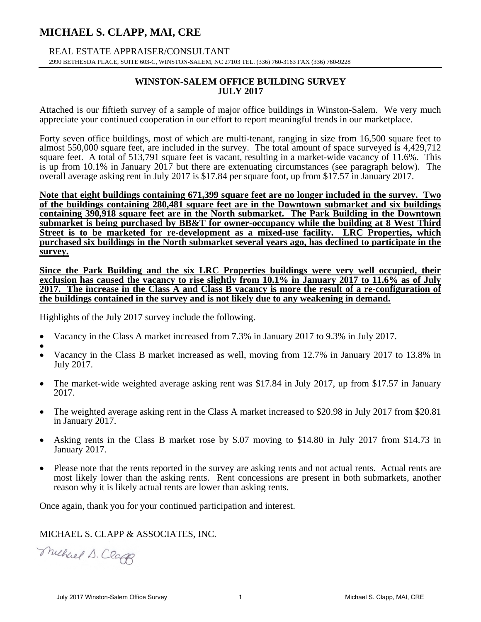# **MICHAEL S. CLAPP, MAI, CRE**

 REAL ESTATE APPRAISER/CONSULTANT 2990 BETHESDA PLACE, SUITE 603-C, WINSTON-SALEM, NC 27103 TEL. (336) 760-3163 FAX (336) 760-9228

#### **WINSTON-SALEM OFFICE BUILDING SURVEY JULY 2017**

Attached is our fiftieth survey of a sample of major office buildings in Winston-Salem. We very much appreciate your continued cooperation in our effort to report meaningful trends in our marketplace.

Forty seven office buildings, most of which are multi-tenant, ranging in size from 16,500 square feet to almost 550,000 square feet, are included in the survey. The total amount of space surveyed is 4,429,712 square feet. A total of 513,791 square feet is vacant, resulting in a market-wide vacancy of 11.6%. This is up from 10.1% in January 2017 but there are extenuating circumstances (see paragraph below). The overall average asking rent in July 2017 is \$17.84 per square foot, up from \$17.57 in January 2017.

**Note that eight buildings containing 671,399 square feet are no longer included in the survey. Two of the buildings containing 280,481 square feet are in the Downtown submarket and six buildings containing 390,918 square feet are in the North submarket. The Park Building in the Downtown submarket is being purchased by BB&T for owner-occupancy while the building at 8 West Third Street is to be marketed for re-development as a mixed-use facility. LRC Properties, which purchased six buildings in the North submarket several years ago, has declined to participate in the survey.** 

**Since the Park Building and the six LRC Properties buildings were very well occupied, their exclusion has caused the vacancy to rise slightly from 10.1% in January 2017 to 11.6% as of July 2017. The increase in the Class A and Class B vacancy is more the result of a re-configuration of the buildings contained in the survey and is not likely due to any weakening in demand.** 

Highlights of the July 2017 survey include the following.

- Vacancy in the Class A market increased from 7.3% in January 2017 to 9.3% in July 2017.
- $\bullet$  Vacancy in the Class B market increased as well, moving from 12.7% in January 2017 to 13.8% in July 2017.
- The market-wide weighted average asking rent was \$17.84 in July 2017, up from \$17.57 in January 2017.
- The weighted average asking rent in the Class A market increased to \$20.98 in July 2017 from \$20.81 in January 2017.
- Asking rents in the Class B market rose by \$.07 moving to \$14.80 in July 2017 from \$14.73 in January 2017.
- Please note that the rents reported in the survey are asking rents and not actual rents. Actual rents are most likely lower than the asking rents. Rent concessions are present in both submarkets, another reason why it is likely actual rents are lower than asking rents.

Once again, thank you for your continued participation and interest.

### MICHAEL S. CLAPP & ASSOCIATES, INC.

Muchael D. Claff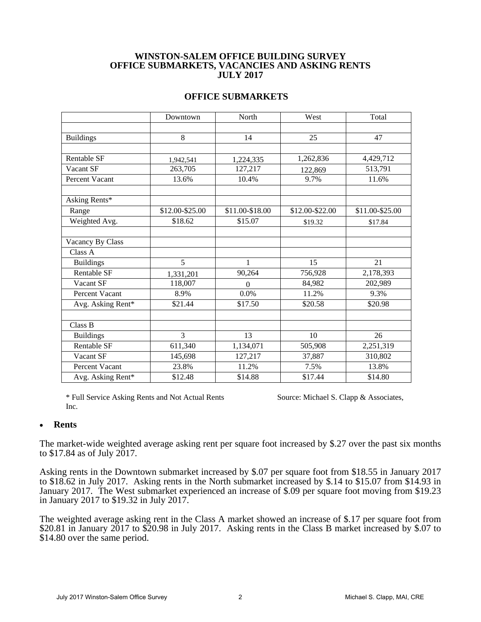#### **WINSTON-SALEM OFFICE BUILDING SURVEY OFFICE SUBMARKETS, VACANCIES AND ASKING RENTS JULY 2017**

#### **OFFICE SUBMARKETS**

|                       | Downtown        | North           | West            | Total           |
|-----------------------|-----------------|-----------------|-----------------|-----------------|
|                       |                 |                 |                 |                 |
| <b>Buildings</b>      | 8               | 14              | 25              | 47              |
|                       |                 |                 |                 |                 |
| Rentable SF           | 1,942,541       | 1,224,335       | 1,262,836       | 4,429,712       |
| Vacant SF             | 263,705         | 127,217         | 122,869         | 513,791         |
| <b>Percent Vacant</b> | 13.6%           | 10.4%           | 9.7%            | 11.6%           |
|                       |                 |                 |                 |                 |
| Asking Rents*         |                 |                 |                 |                 |
| Range                 | \$12.00-\$25.00 | \$11.00-\$18.00 | \$12.00-\$22.00 | \$11.00-\$25.00 |
| Weighted Avg.         | \$18.62         | \$15.07         | \$19.32         | \$17.84         |
|                       |                 |                 |                 |                 |
| Vacancy By Class      |                 |                 |                 |                 |
| Class A               |                 |                 |                 |                 |
| <b>Buildings</b>      | 5               | 1               | 15              | 21              |
| Rentable SF           | 1,331,201       | 90,264          | 756,928         | 2,178,393       |
| Vacant SF             | 118,007         | $\theta$        | 84,982          | 202,989         |
| Percent Vacant        | 8.9%            | 0.0%            | 11.2%           | 9.3%            |
| Avg. Asking Rent*     | \$21.44         | \$17.50         | \$20.58         | \$20.98         |
|                       |                 |                 |                 |                 |
| Class B               |                 |                 |                 |                 |
| <b>Buildings</b>      | $\overline{3}$  | 13              | 10              | 26              |
| Rentable SF           | 611,340         | 1,134,071       | 505,908         | 2,251,319       |
| Vacant SF             | 145,698         | 127,217         | 37,887          | 310,802         |
| Percent Vacant        | 23.8%           | 11.2%           | 7.5%            | 13.8%           |
| Avg. Asking Rent*     | \$12.48         | \$14.88         | \$17.44         | \$14.80         |

\* Full Service Asking Rents and Not Actual Rents Source: Michael S. Clapp & Associates, Inc.

#### **Rents**

The market-wide weighted average asking rent per square foot increased by \$.27 over the past six months to \$17.84 as of July 2017.

Asking rents in the Downtown submarket increased by \$.07 per square foot from \$18.55 in January 2017 to \$18.62 in July 2017. Asking rents in the North submarket increased by \$.14 to \$15.07 from \$14.93 in January 2017. The West submarket experienced an increase of \$.09 per square foot moving from \$19.23 in January 2017 to \$19.32 in July 2017.

The weighted average asking rent in the Class A market showed an increase of \$.17 per square foot from \$20.81 in January  $2017$  to \$20.98 in July 2017. Asking rents in the Class B market increased by \$.07 to \$14.80 over the same period.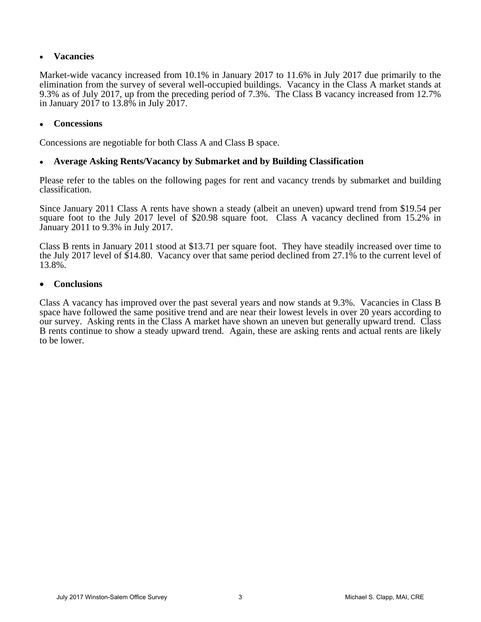### **Vacancies**

Market-wide vacancy increased from 10.1% in January 2017 to 11.6% in July 2017 due primarily to the elimination from the survey of several well-occupied buildings. Vacancy in the Class A market stands at 9.3% as of July 2017, up from the preceding period of 7.3%. The Class B vacancy increased from 12.7% in January 2017 to 13.8% in July 2017.

### **Concessions**

Concessions are negotiable for both Class A and Class B space.

#### **Average Asking Rents/Vacancy by Submarket and by Building Classification**

Please refer to the tables on the following pages for rent and vacancy trends by submarket and building classification.

Since January 2011 Class A rents have shown a steady (albeit an uneven) upward trend from \$19.54 per square foot to the July 2017 level of \$20.98 square foot. Class A vacancy declined from 15.2% in January 2011 to 9.3% in July 2017.

Class B rents in January 2011 stood at \$13.71 per square foot. They have steadily increased over time to the July 2017 level of \$14.80. Vacancy over that same period declined from 27.1% to the current level of 13.8%.

#### **Conclusions**

Class A vacancy has improved over the past several years and now stands at 9.3%. Vacancies in Class B space have followed the same positive trend and are near their lowest levels in over 20 years according to our survey. Asking rents in the Class A market have shown an uneven but generally upward trend. Class B rents continue to show a steady upward trend. Again, these are asking rents and actual rents are likely to be lower.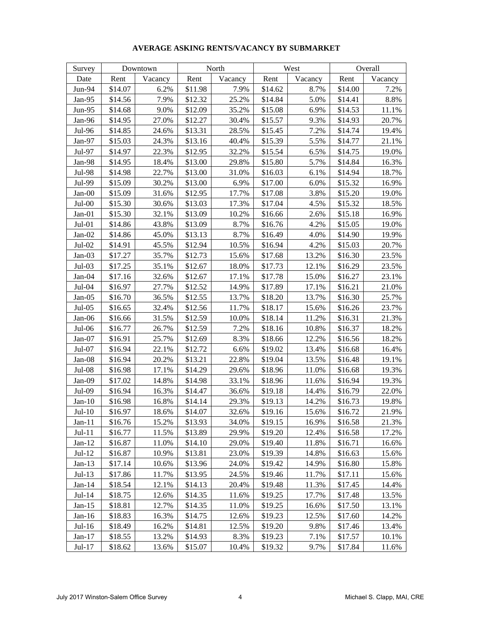| Survey   |         | Downtown | North   |         |         | West    | Overall |         |  |
|----------|---------|----------|---------|---------|---------|---------|---------|---------|--|
| Date     | Rent    | Vacancy  | Rent    | Vacancy | Rent    | Vacancy | Rent    | Vacancy |  |
| Jun-94   | \$14.07 | 6.2%     | \$11.98 | 7.9%    | \$14.62 | 8.7%    | \$14.00 | 7.2%    |  |
| Jan-95   | \$14.56 | 7.9%     | \$12.32 | 25.2%   | \$14.84 | 5.0%    | \$14.41 | 8.8%    |  |
| Jun-95   | \$14.68 | 9.0%     | \$12.09 | 35.2%   | \$15.08 | 6.9%    | \$14.53 | 11.1%   |  |
| Jan-96   | \$14.95 | 27.0%    | \$12.27 | 30.4%   | \$15.57 | 9.3%    | \$14.93 | 20.7%   |  |
| Jul-96   | \$14.85 | 24.6%    | \$13.31 | 28.5%   | \$15.45 | 7.2%    | \$14.74 | 19.4%   |  |
| Jan-97   | \$15.03 | 24.3%    | \$13.16 | 40.4%   | \$15.39 | 5.5%    | \$14.77 | 21.1%   |  |
| Jul-97   | \$14.97 | 22.3%    | \$12.95 | 32.2%   | \$15.54 | 6.5%    | \$14.75 | 19.0%   |  |
| Jan-98   | \$14.95 | 18.4%    | \$13.00 | 29.8%   | \$15.80 | 5.7%    | \$14.84 | 16.3%   |  |
| Jul-98   | \$14.98 | 22.7%    | \$13.00 | 31.0%   | \$16.03 | 6.1%    | \$14.94 | 18.7%   |  |
| Jul-99   | \$15.09 | 30.2%    | \$13.00 | 6.9%    | \$17.00 | 6.0%    | \$15.32 | 16.9%   |  |
| $Jan-00$ | \$15.09 | 31.6%    | \$12.95 | 17.7%   | \$17.08 | 3.8%    | \$15.20 | 19.0%   |  |
| $Jul-00$ | \$15.30 | 30.6%    | \$13.03 | 17.3%   | \$17.04 | 4.5%    | \$15.32 | 18.5%   |  |
| Jan-01   | \$15.30 | 32.1%    | \$13.09 | 10.2%   | \$16.66 | 2.6%    | \$15.18 | 16.9%   |  |
| $Jul-01$ | \$14.86 | 43.8%    | \$13.09 | 8.7%    | \$16.76 | 4.2%    | \$15.05 | 19.0%   |  |
| $Jan-02$ | \$14.86 | 45.0%    | \$13.13 | 8.7%    | \$16.49 | 4.0%    | \$14.90 | 19.9%   |  |
| Jul-02   | \$14.91 | 45.5%    | \$12.94 | 10.5%   | \$16.94 | 4.2%    | \$15.03 | 20.7%   |  |
| Jan-03   | \$17.27 | 35.7%    | \$12.73 | 15.6%   | \$17.68 | 13.2%   | \$16.30 | 23.5%   |  |
| Jul-03   | \$17.25 | 35.1%    | \$12.67 | 18.0%   | \$17.73 | 12.1%   | \$16.29 | 23.5%   |  |
| $Jan-04$ | \$17.16 | 32.6%    | \$12.67 | 17.1%   | \$17.78 | 15.0%   | \$16.27 | 23.1%   |  |
| Jul-04   | \$16.97 | 27.7%    | \$12.52 | 14.9%   | \$17.89 | 17.1%   | \$16.21 | 21.0%   |  |
| $Jan-05$ | \$16.70 | 36.5%    | \$12.55 | 13.7%   | \$18.20 | 13.7%   | \$16.30 | 25.7%   |  |
| $Jul-05$ | \$16.65 | 32.4%    | \$12.56 | 11.7%   | \$18.17 | 15.6%   | \$16.26 | 23.7%   |  |
| $Jan-06$ | \$16.66 | 31.5%    | \$12.59 | 10.0%   | \$18.14 | 11.2%   | \$16.31 | 21.3%   |  |
| $Jul-06$ | \$16.77 | 26.7%    | \$12.59 | 7.2%    | \$18.16 | 10.8%   | \$16.37 | 18.2%   |  |
| $Jan-07$ | \$16.91 | 25.7%    | \$12.69 | 8.3%    | \$18.66 | 12.2%   | \$16.56 | 18.2%   |  |
| Jul-07   | \$16.94 | 22.1%    | \$12.72 | 6.6%    | \$19.02 | 13.4%   | \$16.68 | 16.4%   |  |
| $Jan-08$ | \$16.94 | 20.2%    | \$13.21 | 22.8%   | \$19.04 | 13.5%   | \$16.48 | 19.1%   |  |
| Jul-08   | \$16.98 | 17.1%    | \$14.29 | 29.6%   | \$18.96 | 11.0%   | \$16.68 | 19.3%   |  |
| Jan-09   | \$17.02 | 14.8%    | \$14.98 | 33.1%   | \$18.96 | 11.6%   | \$16.94 | 19.3%   |  |
| Jul-09   | \$16.94 | 16.3%    | \$14.47 | 36.6%   | \$19.18 | 14.4%   | \$16.79 | 22.0%   |  |
| $Jan-10$ | \$16.98 | 16.8%    | \$14.14 | 29.3%   | \$19.13 | 14.2%   | \$16.73 | 19.8%   |  |
| $Jul-10$ | \$16.97 | 18.6%    | \$14.07 | 32.6%   | \$19.16 | 15.6%   | \$16.72 | 21.9%   |  |
| $Jan-11$ | \$16.76 | 15.2%    | \$13.93 | 34.0%   | \$19.15 | 16.9%   | \$16.58 | 21.3%   |  |
| $Jul-11$ | \$16.77 | 11.5%    | \$13.89 | 29.9%   | \$19.20 | 12.4%   | \$16.58 | 17.2%   |  |
| $Jan-12$ | \$16.87 | 11.0%    | \$14.10 | 29.0%   | \$19.40 | 11.8%   | \$16.71 | 16.6%   |  |
| $Jul-12$ | \$16.87 | 10.9%    | \$13.81 | 23.0%   | \$19.39 | 14.8%   | \$16.63 | 15.6%   |  |
| $Jan-13$ | \$17.14 | 10.6%    | \$13.96 | 24.0%   | \$19.42 | 14.9%   | \$16.80 | 15.8%   |  |
| $Jul-13$ | \$17.86 | 11.7%    | \$13.95 | 24.5%   | \$19.46 | 11.7%   | \$17.11 | 15.6%   |  |
| $Jan-14$ | \$18.54 | 12.1%    | \$14.13 | 20.4%   | \$19.48 | 11.3%   | \$17.45 | 14.4%   |  |
| $Jul-14$ | \$18.75 | 12.6%    | \$14.35 | 11.6%   | \$19.25 | 17.7%   | \$17.48 | 13.5%   |  |
| $Jan-15$ | \$18.81 | 12.7%    | \$14.35 | 11.0%   | \$19.25 | 16.6%   | \$17.50 | 13.1%   |  |
| $Jan-16$ | \$18.83 | 16.3%    | \$14.75 | 12.6%   | \$19.23 | 12.5%   | \$17.60 | 14.2%   |  |
| $Jul-16$ | \$18.49 | 16.2%    | \$14.81 | 12.5%   | \$19.20 | 9.8%    | \$17.46 | 13.4%   |  |
| $Jan-17$ | \$18.55 | 13.2%    | \$14.93 | 8.3%    | \$19.23 | 7.1%    | \$17.57 | 10.1%   |  |
| Jul-17   | \$18.62 | 13.6%    | \$15.07 | 10.4%   | \$19.32 | 9.7%    | \$17.84 | 11.6%   |  |

#### **AVERAGE ASKING RENTS/VACANCY BY SUBMARKET**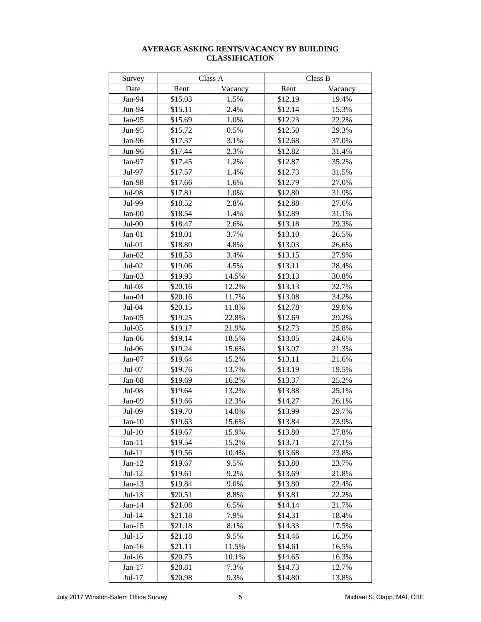| Survey   |         | Class A | Class B |         |  |  |  |
|----------|---------|---------|---------|---------|--|--|--|
| Date     | Rent    | Vacancy | Rent    | Vacancy |  |  |  |
| Jan-94   | \$15.03 | 1.5%    | \$12.19 | 19.4%   |  |  |  |
| Jun-94   | \$15.11 | 2.4%    | \$12.14 | 15.3%   |  |  |  |
| Jan-95   | \$15.69 | 1.0%    | \$12.23 | 22.2%   |  |  |  |
| $Jun-95$ | \$15.72 | 0.5%    | \$12.50 | 29.3%   |  |  |  |
| Jan-96   | \$17.37 | 3.1%    | \$12.68 | 37.0%   |  |  |  |
| Jun-96   | \$17.44 | 2.3%    | \$12.82 | 31.4%   |  |  |  |
| Jan-97   | \$17.45 | 1.2%    | \$12.87 | 35.2%   |  |  |  |
| Jul-97   | \$17.57 | 1.4%    | \$12.73 | 31.5%   |  |  |  |
| Jan-98   | \$17.66 | 1.6%    | \$12.79 | 27.0%   |  |  |  |
| Jul-98   | \$17.81 | 1.0%    | \$12.80 | 31.9%   |  |  |  |
| Jul-99   | \$18.52 | 2.8%    | \$12.88 | 27.6%   |  |  |  |
| Jan-00   | \$18.54 | 1.4%    | \$12.89 | 31.1%   |  |  |  |
| $Jul-00$ | \$18.47 | 2.6%    | \$13.18 | 29.3%   |  |  |  |
| $Jan-01$ | \$18.01 | 3.7%    | \$13.10 | 26.5%   |  |  |  |
| $Jul-01$ | \$18.80 | 4.8%    | \$13.03 | 26.6%   |  |  |  |
| $Jan-02$ | \$18.53 | 3.4%    | \$13.15 | 27.9%   |  |  |  |
| $Jul-02$ | \$19.06 | 4.5%    | \$13.11 | 28.4%   |  |  |  |
| $Jan-03$ | \$19.93 | 14.5%   | \$13.13 | 30.8%   |  |  |  |
| $Jul-03$ | \$20.16 | 12.2%   | \$13.13 | 32.7%   |  |  |  |
| Jan-04   | \$20.16 | 11.7%   | \$13.08 | 34.2%   |  |  |  |
| Jul-04   | \$20.15 | 11.8%   | \$12.78 | 29.0%   |  |  |  |
| $Jan-05$ | \$19.25 | 22.8%   | \$12.69 | 29.2%   |  |  |  |
| $Jul-05$ | \$19.17 | 21.9%   | \$12.73 | 25.8%   |  |  |  |
| Jan-06   | \$19.14 | 18.5%   | \$13.05 | 24.6%   |  |  |  |
| Jul-06   | \$19.24 | 15.6%   | \$13.07 | 21.3%   |  |  |  |
| $Jan-07$ | \$19.64 | 15.2%   | \$13.11 | 21.6%   |  |  |  |
| Jul-07   | \$19.76 | 13.7%   | \$13.19 | 19.5%   |  |  |  |
| Jan-08   | \$19.69 | 16.2%   | \$13.37 | 25.2%   |  |  |  |
| Jul-08   | \$19.64 | 13.2%   | \$13.88 | 25.1%   |  |  |  |
| Jan-09   | \$19.66 | 12.3%   | \$14.27 | 26.1%   |  |  |  |
| Jul-09   | \$19.70 | 14.0%   | \$13.99 | 29.7%   |  |  |  |
| $Jan-10$ | \$19.63 | 15.6%   | \$13.84 | 23.9%   |  |  |  |
| $Jul-10$ | \$19.67 | 15.9%   | \$13.80 | 27.8%   |  |  |  |
| $Jan-11$ | \$19.54 | 15.2%   | \$13.71 | 27.1%   |  |  |  |
| $Jul-11$ | \$19.56 | 10.4%   | \$13.68 | 23.8%   |  |  |  |
| $Jan-12$ | \$19.67 | 9.5%    | \$13.80 | 23.7%   |  |  |  |
| $Jul-12$ | \$19.61 | 9.2%    | \$13.69 | 21.8%   |  |  |  |
| $Jan-13$ | \$19.84 | 9.0%    | \$13.80 | 22.4%   |  |  |  |
| $Jul-13$ | \$20.51 | 8.8%    | \$13.81 | 22.2%   |  |  |  |
| $Jan-14$ | \$21.08 | 6.5%    | \$14.14 | 21.7%   |  |  |  |
| $Jul-14$ | \$21.18 | 7.9%    | \$14.31 | 18.4%   |  |  |  |
| $Jan-15$ | \$21.18 | 8.1%    | \$14.33 | 17.5%   |  |  |  |
| $Jul-15$ | \$21.18 | 9.5%    | \$14.46 | 16.3%   |  |  |  |
| $Jan-16$ | \$21.11 | 11.5%   | \$14.61 | 16.5%   |  |  |  |
| $Jul-16$ | \$20.75 | 10.1%   | \$14.65 | 16.3%   |  |  |  |
| $Jan-17$ | \$20.81 | 7.3%    | \$14.73 | 12.7%   |  |  |  |
| Jul-17   | \$20.98 | 9.3%    | \$14.80 | 13.8%   |  |  |  |

#### **AVERAGE ASKING RENTS/VACANCY BY BUILDING CLASSIFICATION**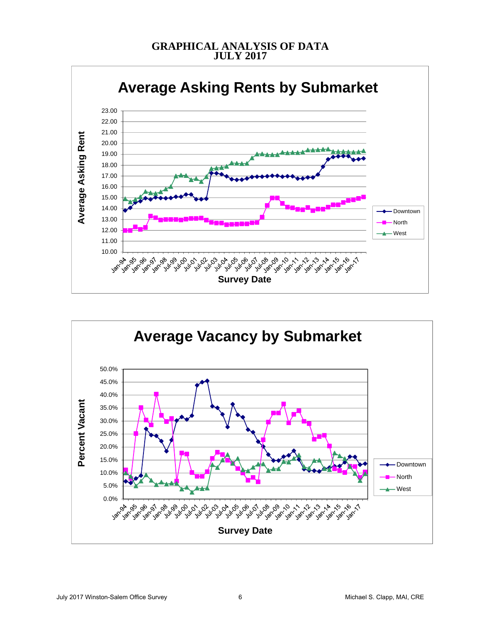## **GRAPHICAL ANALYSIS OF DATA JULY 2017**



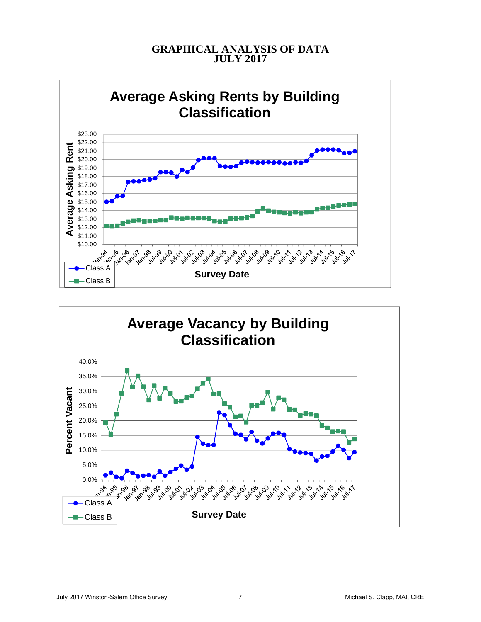# **GRAPHICAL ANALYSIS OF DATA JULY 2017**



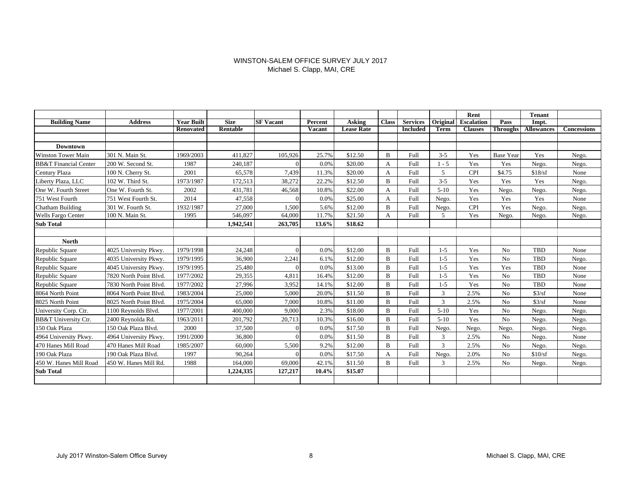#### WINSTON-SALEM OFFICE SURVEY JULY 2017 Michael S. Clapp, MAI, CRE

|                                  |                       |                   |             |                  |         |                   |                |                 |                 | Rent              |                  | <b>Tenant</b>     |                    |
|----------------------------------|-----------------------|-------------------|-------------|------------------|---------|-------------------|----------------|-----------------|-----------------|-------------------|------------------|-------------------|--------------------|
| <b>Building Name</b>             | <b>Address</b>        | <b>Year Built</b> | <b>Size</b> | <b>SF</b> Vacant | Percent | <b>Asking</b>     | <b>Class</b>   | <b>Services</b> | <b>Original</b> | <b>Escalation</b> | Pass             | Impt.             |                    |
|                                  |                       | <b>Renovated</b>  | Rentable    |                  | Vacant  | <b>Lease Rate</b> |                | <b>Included</b> | Term            | <b>Clauses</b>    | <b>Throughs</b>  | <b>Allowances</b> | <b>Concessions</b> |
|                                  |                       |                   |             |                  |         |                   |                |                 |                 |                   |                  |                   |                    |
| <b>Downtown</b>                  |                       |                   |             |                  |         |                   |                |                 |                 |                   |                  |                   |                    |
| <b>Winston Tower Main</b>        | 301 N. Main St.       | 1969/2003         | 411.827     | 105,926          | 25.7%   | \$12.50           | B              | Full            | $3 - 5$         | Yes               | <b>Base Year</b> | Yes               | Nego.              |
| <b>BB&amp;T</b> Financial Center | 200 W. Second St.     | 1987              | 240,187     | $\Omega$         | 0.0%    | \$20.00           | A              | Full            | $1 - 5$         | Yes               | Yes              | Nego.             | Nego.              |
| Century Plaza                    | 100 N. Cherry St.     | 2001              | 65,578      | 7,439            | 11.3%   | \$20.00           | A              | <b>Full</b>     | 5               | <b>CPI</b>        | \$4.75           | \$18/sf           | None               |
| Liberty Plaza, LLC               | 102 W. Third St.      | 1973/1987         | 172,513     | 38,272           | 22.2%   | \$12.50           | B              | Full            | $3 - 5$         | Yes               | Yes              | Yes               | Nego.              |
| One W. Fourth Street             | One W. Fourth St.     | 2002              | 431,781     | 46,568           | 10.8%   | \$22.00           | А              | Full            | $5 - 10$        | Yes               | Nego.            | Nego.             | Nego.              |
| 751 West Fourth                  | 751 West Fourth St.   | 2014              | 47,558      | $\Omega$         | 0.0%    | \$25.00           | A              | Full            | Nego.           | Yes               | Yes              | Yes               | None               |
| Chatham Building                 | 301 W. Fourth St.     | 1932/1987         | 27,000      | 1,500            | 5.6%    | \$12.00           | B              | Full            | Nego.           | <b>CPI</b>        | Yes              | Nego.             | Nego.              |
| Wells Fargo Center               | 100 N. Main St.       | 1995              | 546,097     | 64,000           | 11.7%   | \$21.50           | A              | Full            | 5               | Yes               | Nego.            | Nego.             | Nego.              |
| <b>Sub Total</b>                 |                       |                   | 1,942,541   | 263,705          | 13.6%   | \$18.62           |                |                 |                 |                   |                  |                   |                    |
|                                  |                       |                   |             |                  |         |                   |                |                 |                 |                   |                  |                   |                    |
| <b>North</b>                     |                       |                   |             |                  |         |                   |                |                 |                 |                   |                  |                   |                    |
| Republic Square                  | 4025 University Pkwy. | 1979/1998         | 24,248      | $\Omega$         | 0.0%    | \$12.00           | $\overline{B}$ | Full            | $1 - 5$         | Yes               | No               | TBD               | None               |
| Republic Square                  | 4035 University Pkwy. | 1979/1995         | 36,900      | 2,241            | 6.1%    | \$12.00           | B              | Full            | $1 - 5$         | Yes               | No               | TBD               | Nego.              |
| Republic Square                  | 4045 University Pkwy. | 1979/1995         | 25,480      | $\sqrt{ }$       | 0.0%    | \$13.00           | B              | Full            | $1 - 5$         | Yes               | Yes              | <b>TBD</b>        | None               |
| Republic Square                  | 7820 North Point Blvd | 1977/2002         | 29,355      | 4,811            | 16.4%   | \$12.00           | B              | Full            | $1 - 5$         | Yes               | N <sub>o</sub>   | <b>TBD</b>        | None               |
| Republic Square                  | 7830 North Point Blyd | 1977/2002         | 27,996      | 3,952            | 14.1%   | \$12.00           | B              | Full            | $1 - 5$         | Yes               | No               | TBD               | None               |
| 8064 North Point                 | 8064 North Point Blvd | 1983/2004         | 25,000      | 5,000            | 20.0%   | \$11.50           | B              | Full            | 3               | 2.5%              | N <sub>o</sub>   | \$3/sf            | None               |
| 8025 North Point                 | 8025 North Point Blvd | 1975/2004         | 65,000      | 7,000            | 10.8%   | \$11.00           | B              | Full            | 3               | 2.5%              | N <sub>o</sub>   | \$3/sf            | None               |
| University Corp. Ctr.            | 1100 Reynolds Blvd.   | 1977/2001         | 400,000     | 9.000            | 2.3%    | \$18.00           | B              | Full            | $5-10$          | Yes               | No               | Nego.             | Nego.              |
| BB&T University Ctr.             | 2400 Reynolda Rd.     | 1963/2011         | 201,792     | 20,713           | 10.3%   | \$16.00           | B              | Full            | $5 - 10$        | Yes               | No               | Nego.             | Nego.              |
| 150 Oak Plaza                    | 150 Oak Plaza Blvd.   | 2000              | 37,500      | $\Omega$         | 0.0%    | \$17.50           | B              | Full            | Nego.           | Nego.             | Nego.            | Nego.             | Nego.              |
| 4964 University Pkwy.            | 4964 University Pkwy. | 1991/2000         | 36,800      | $\sqrt{ }$       | 0.0%    | \$11.50           | B              | Full            | 3               | 2.5%              | No               | Nego.             | None               |
| 470 Hanes Mill Road              | 470 Hanes Mill Road   | 1985/2007         | 60,000      | 5,500            | 9.2%    | \$12.00           | B              | Full            | 3               | 2.5%              | No               | Nego.             | Nego.              |
| 190 Oak Plaza                    | 190 Oak Plaza Blvd.   | 1997              | 90,264      | $\sqrt{ }$       | 0.0%    | \$17.50           | A              | Full            | Nego.           | 2.0%              | N <sub>o</sub>   | \$10/sf           | Nego.              |
| 450 W. Hanes Mill Road           | 450 W. Hanes Mill Rd. | 1988              | 164,000     | 69,000           | 42.1%   | \$11.50           | B              | Full            | 3               | 2.5%              | No               | Nego.             | Nego.              |
| <b>Sub Total</b>                 |                       |                   | 1,224,335   | 127,217          | 10.4%   | \$15.07           |                |                 |                 |                   |                  |                   |                    |
|                                  |                       |                   |             |                  |         |                   |                |                 |                 |                   |                  |                   |                    |